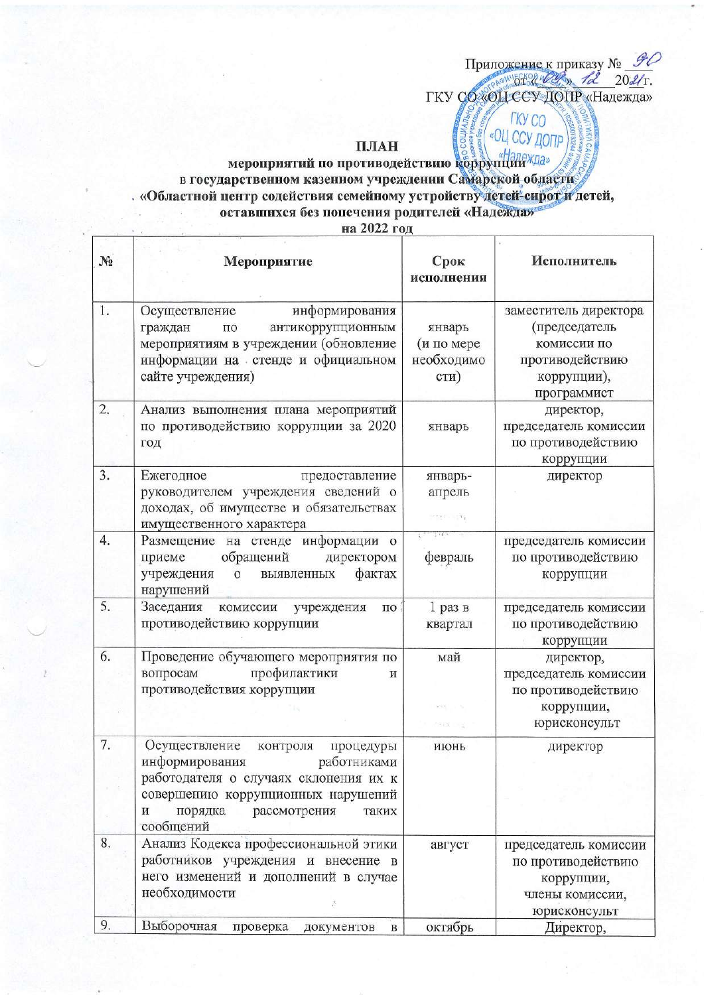## ПЛАН

Приложение к приказу №  $\frac{\mathcal{G}O}{\mathcal{G}L}$ ГКУ СФХОЦССУДОПР «Надежда»

**FKY CO** «ОЦ ССУ ДОПР

## мероприятий по противодействию коррупции «Далежда» в государственном казенном учреждении Самарской области «Областной центр содействия семейному устройству детей-сирот и детей, оставшихся без попечения родителей «Надежда»<sup>6</sup>

на 2022 год

| $N_2$ | Мероприятие                                                                                                                                                                                                  | Срок<br>исполнения                         | Исполнитель                                                                                            |
|-------|--------------------------------------------------------------------------------------------------------------------------------------------------------------------------------------------------------------|--------------------------------------------|--------------------------------------------------------------------------------------------------------|
| 1.    | информирования<br>Осуществление<br>антикоррупционным<br>граждан<br>по<br>мероприятиям в учреждении (обновление<br>информации на стенде и официальном<br>сайте учреждения)                                    | январь<br>(и по мере<br>необходимо<br>сти) | заместитель директора<br>(председатель<br>комиссии по<br>противодействию<br>коррупции),<br>программист |
| 2.    | Анализ выполнения плана мероприятий<br>по противодействию коррупции за 2020<br>год                                                                                                                           | январь                                     | директор,<br>председатель комиссии<br>по противодействию<br>коррупции                                  |
| 3.    | Ежегодное<br>предоставление<br>руководителем учреждения сведений о<br>доходах, об имуществе и обязательствах<br>имущественного характера                                                                     | январь-<br>апрель<br>$-111 - 111$          | директор                                                                                               |
| 4.    | Размещение на стенде информации о<br>обращений<br>приеме<br>директором<br>фактах<br>учреждения<br>$\mathbf{o}$<br>выявленных<br>нарушений                                                                    | февраль                                    | председатель комиссии<br>по противодействию<br>коррупции                                               |
| 5.    | Заседания<br>комиссии<br>учреждения<br>$\Pi{\rm O}$<br>противодействию коррупции                                                                                                                             | $1$ раз в<br>квартал                       | председатель комиссии<br>по противодействию<br>коррупции                                               |
| 6.    | Проведение обучающего мероприятия по<br>профилактики<br>вопросам<br>И<br>противодействия коррупции                                                                                                           | май<br>2000 F.                             | директор,<br>председатель комиссии<br>по противодействию<br>коррупции,<br>юрисконсульт                 |
| 7.    | Осуществление<br>контроля<br>процедуры<br>информирования<br>работниками<br>работодателя о случаях склонения их к<br>совершению коррупционных нарушений<br>порядка<br>рассмотрения<br>и<br>таких<br>сообщений | июнь                                       | директор                                                                                               |
| 8.    | Анализ Кодекса профессиональной этики<br>работников учреждения и внесение в<br>него изменений и дополнений в случае<br>необходимости<br>ĕ                                                                    | август                                     | председатель комиссии<br>по противодействию<br>коррупции,<br>члены комиссии,<br>юрисконсульт           |
| 9.    | Выборочная<br>проверка<br>документов<br>B                                                                                                                                                                    | октябрь                                    | Директор,                                                                                              |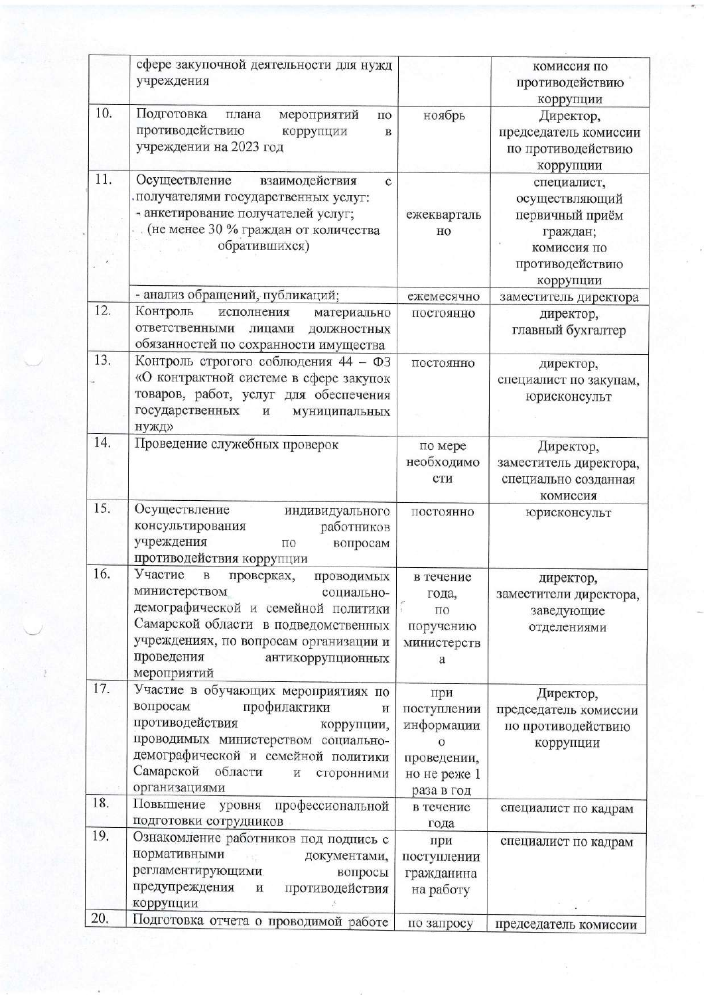|     | сфере закупочной деятельности для нужд<br>учреждения                                                                                                                                                                                                          |                                                                                          | комиссия по<br>противодействию                                        |
|-----|---------------------------------------------------------------------------------------------------------------------------------------------------------------------------------------------------------------------------------------------------------------|------------------------------------------------------------------------------------------|-----------------------------------------------------------------------|
| 10. | Подготовка<br>мероприятий<br>плана<br>ПО<br>противодействию<br>коррупции<br>$\bf{B}$<br>учреждении на 2023 год                                                                                                                                                | ноябрь                                                                                   | коррупции<br>Директор,<br>председатель комиссии<br>по противодействию |
| 11. | Осуществление<br>взаимодействия<br>$\mathbf{C}$                                                                                                                                                                                                               |                                                                                          | коррупции<br>специалист,                                              |
|     | получателями государственных услуг:<br>- анкетирование получателей услуг;<br>. (не менее 30 % граждан от количества                                                                                                                                           | ежекварталь<br>HO                                                                        | осуществляющий<br>первичный приём<br>граждан;                         |
|     | обратившихся)                                                                                                                                                                                                                                                 |                                                                                          | комиссия по<br>противодействию<br>коррупции                           |
|     | - анализ обращений, публикаций;                                                                                                                                                                                                                               | ежемесячно                                                                               | заместитель директора                                                 |
| 12. | Контроль<br>исполнения<br>материально<br>ответственными<br>ДОЛЖНОСТНЫХ<br>лицами<br>обязанностей по сохранности имущества                                                                                                                                     | постоянно                                                                                | директор,<br>главный бухгалтер                                        |
| 13. | Контроль строгого соблюдения 44 - ФЗ<br>«О контрактной системе в сфере закупок<br>товаров, работ, услуг для обеспечения<br>государственных<br>$\, {\bf N}$<br>муниципальных                                                                                   | постоянно                                                                                | директор,<br>специалист по закупам,<br>юрисконсульт                   |
|     | нужд»                                                                                                                                                                                                                                                         |                                                                                          |                                                                       |
| 14. | Проведение служебных проверок                                                                                                                                                                                                                                 | по мере                                                                                  | Директор,                                                             |
|     |                                                                                                                                                                                                                                                               | необходимо<br>сти                                                                        | заместитель директора,<br>специально созданная<br>комиссия            |
| 15. | Осуществление<br>индивидуального<br>консультирования<br>работников<br>учреждения<br>по<br>вопросам<br>противодействия коррупции                                                                                                                               | постоянно                                                                                | юрисконсульт                                                          |
| 16. | Участие<br>$\, {\bf B}$<br>проверках,<br>проводимых<br>министерством<br>социально-<br>демографической и семейной политики<br>Самарской области в подведомственных<br>учреждениях, по вопросам организации и<br>проведения<br>антикоррупционных<br>мероприятий | в течение<br>года,<br>$\Pi$ O<br>поручению<br>министерств<br>a                           | директор,<br>заместители директора,<br>заведующие<br>отделениями      |
| 17. | Участие в обучающих мероприятиях по<br>вопросам<br>профилактики<br>И<br>противодействия<br>коррупции,<br>проводимых министерством социально-<br>демографической и семейной политики<br>Самарской области<br>И<br>сторонними<br>организациями                  | при<br>поступлении<br>информации<br>$\circ$<br>проведении,<br>но не реже 1<br>раза в год | Директор,<br>председатель комиссии<br>по противодействию<br>коррупции |
| 18. | Повышение уровня<br>профессиональной<br>подготовки сотрудников                                                                                                                                                                                                | в течение<br>года                                                                        | специалист по кадрам                                                  |
| 19. | Ознакомление работников под подпись с<br>нормативными<br>документами,<br>регламентирующими.<br>вопросы<br>предупреждения<br>противодействия<br>$\,$ M<br>коррупции                                                                                            | при<br>поступлении<br>гражданина<br>на работу                                            | специалист по кадрам                                                  |
| 20. | Подготовка отчета о проводимой работе                                                                                                                                                                                                                         |                                                                                          |                                                                       |
|     |                                                                                                                                                                                                                                                               | по запросу                                                                               | председатель комиссии                                                 |